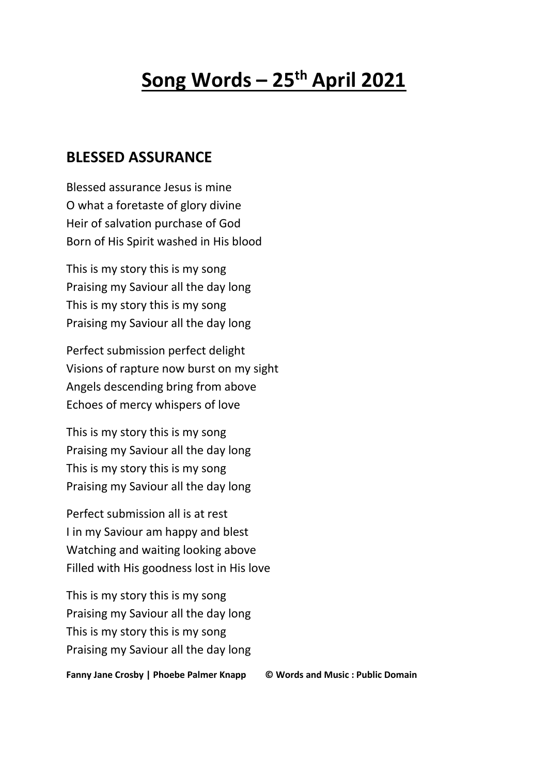## **Song Words – 25th April 2021**

## **BLESSED ASSURANCE**

Blessed assurance Jesus is mine O what a foretaste of glory divine Heir of salvation purchase of God Born of His Spirit washed in His blood

This is my story this is my song Praising my Saviour all the day long This is my story this is my song Praising my Saviour all the day long

Perfect submission perfect delight Visions of rapture now burst on my sight Angels descending bring from above Echoes of mercy whispers of love

This is my story this is my song Praising my Saviour all the day long This is my story this is my song Praising my Saviour all the day long

Perfect submission all is at rest I in my Saviour am happy and blest Watching and waiting looking above Filled with His goodness lost in His love

This is my story this is my song Praising my Saviour all the day long This is my story this is my song Praising my Saviour all the day long

**Fanny Jane Crosby | Phoebe Palmer Knapp © Words and Music : Public Domain**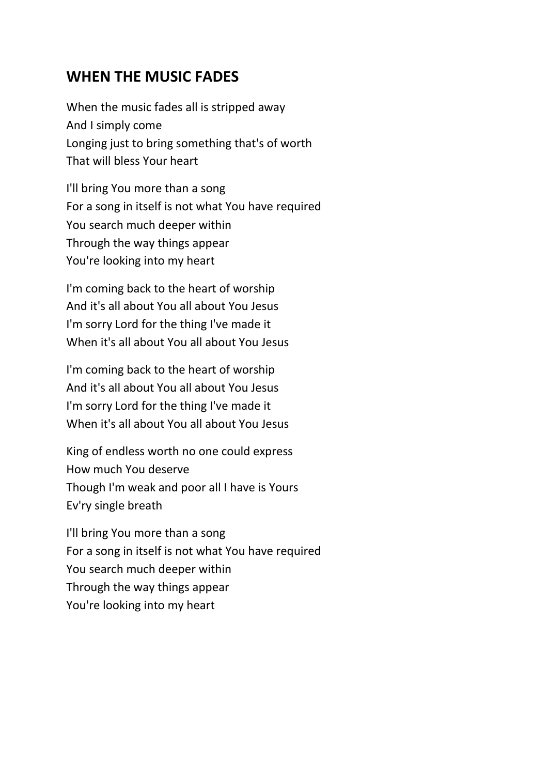## **WHEN THE MUSIC FADES**

When the music fades all is stripped away And I simply come Longing just to bring something that's of worth That will bless Your heart

I'll bring You more than a song For a song in itself is not what You have required You search much deeper within Through the way things appear You're looking into my heart

I'm coming back to the heart of worship And it's all about You all about You Jesus I'm sorry Lord for the thing I've made it When it's all about You all about You Jesus

I'm coming back to the heart of worship And it's all about You all about You Jesus I'm sorry Lord for the thing I've made it When it's all about You all about You Jesus

King of endless worth no one could express How much You deserve Though I'm weak and poor all I have is Yours Ev'ry single breath

I'll bring You more than a song For a song in itself is not what You have required You search much deeper within Through the way things appear You're looking into my heart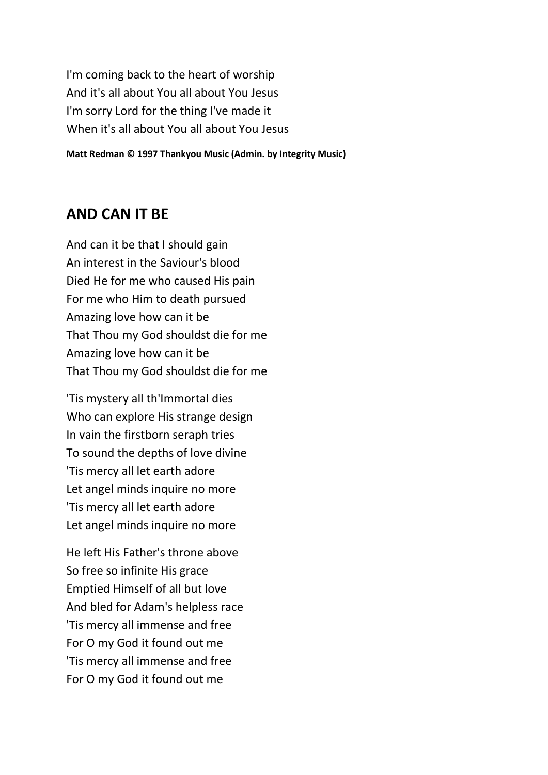I'm coming back to the heart of worship And it's all about You all about You Jesus I'm sorry Lord for the thing I've made it When it's all about You all about You Jesus

**Matt Redman © 1997 Thankyou Music (Admin. by Integrity Music)**

## **AND CAN IT BE**

And can it be that I should gain An interest in the Saviour's blood Died He for me who caused His pain For me who Him to death pursued Amazing love how can it be That Thou my God shouldst die for me Amazing love how can it be That Thou my God shouldst die for me

'Tis mystery all th'Immortal dies Who can explore His strange design In vain the firstborn seraph tries To sound the depths of love divine 'Tis mercy all let earth adore Let angel minds inquire no more 'Tis mercy all let earth adore Let angel minds inquire no more

He left His Father's throne above So free so infinite His grace Emptied Himself of all but love And bled for Adam's helpless race 'Tis mercy all immense and free For O my God it found out me 'Tis mercy all immense and free For O my God it found out me